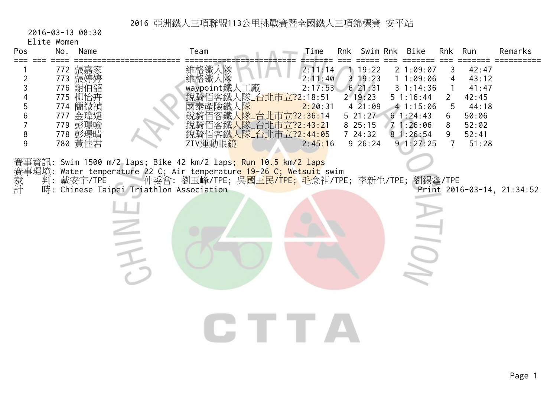2016-03-13 08:30

Elite Women

| Pos                        | No. | Name                                                                                            | Team                                                                                                                                                                                                                                                                                                                                      | Time                                                | Rnk Swim Rnk                                                                                                   | Bike                                                                                                     | Rnk                                                    | Run                                                                           | Remarks                    |
|----------------------------|-----|-------------------------------------------------------------------------------------------------|-------------------------------------------------------------------------------------------------------------------------------------------------------------------------------------------------------------------------------------------------------------------------------------------------------------------------------------------|-----------------------------------------------------|----------------------------------------------------------------------------------------------------------------|----------------------------------------------------------------------------------------------------------|--------------------------------------------------------|-------------------------------------------------------------------------------|----------------------------|
| 2<br>3<br>5<br>6<br>8<br>9 |     | 772 張嘉家<br>773 張婷婷<br>776 謝伯韶<br>775 柳怡卉<br>774 簡微禎<br>777 金瑋婕<br>779 彭璟喻<br>778 彭璟晴<br>780 黃佳君 | 維格鐵人隊<br>維格鐵人隊<br>waypoint鐵人工廠<br>銳騎佰客鐵人隊 台北市立?2:18:51<br>國泰產險鐵人隊<br>佰客鐵人 <mark>隊_台北市立?2:36:</mark> 14<br>銳騎佰客鐵人隊_台北市立?2:43:21<br>銳騎佰客鐵人隊_台北市立?2:44:05<br>ZIV運動眼鏡                                                                                                                                                                         | 2:11:14<br>2:11:40<br>2:17:53<br>2:20:31<br>2:45:16 | 1 19:22<br>$3 \t19:23$<br>621:31<br>$2 \t19:23$<br>$4\overline{2}1:09$<br>521:27<br>825:15<br>724:32<br>926:24 | 21:09:07<br>11:09:06<br>31:14:36<br>51:16:44<br>41:15:06<br>61:24:43<br>71:26:06<br>81:26:54<br>91:27:25 | 3<br>4<br>1<br>$\overline{2}$<br>5<br>6<br>8<br>9<br>7 | 42:47<br>43:12<br>41:47<br>42:45<br>44:18<br>50:06<br>52:02<br>52:41<br>51:28 |                            |
|                            |     |                                                                                                 | 賽事資訊: Swim 1500 m/2 laps; Bike 42 km/2 laps <mark>; Run 10.5 km/2 laps</mark><br>賽事環境: Water temperature 22 C; Air temperature 19-26 C; Wetsuit swim<br>裁  判: 戴安宇/TPE     仲委會: 劉玉峰/TPE; 吳 <mark>國王民/TPE;</mark> 毛念祖/TPE<br>計  時: Chinese Taipei Triathlon Association<br>仲委會: 劉玉峰/TPE; 吳 <mark>國王民/TPE; 毛</mark> 念祖/TPE; 李新生/TPE; 劉錫鑫/TPE |                                                     |                                                                                                                |                                                                                                          |                                                        |                                                                               | Print 2016-03-14, 21:34:52 |
|                            |     |                                                                                                 |                                                                                                                                                                                                                                                                                                                                           |                                                     |                                                                                                                |                                                                                                          |                                                        |                                                                               |                            |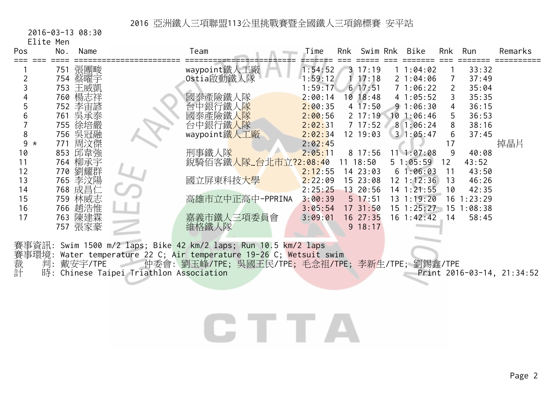2016-03-13 08:30

Elite Men

| Pos          | No.     | Name | Team                 | Time    | <b>Rnk</b> | Swim Rnk            |     | Bike       | Rnk | Run     | Remarks |
|--------------|---------|------|----------------------|---------|------------|---------------------|-----|------------|-----|---------|---------|
|              | 751     | 張團畯  | waypoint鐵人工廠         | 1:54:52 |            | 17:19               |     | 1:04:02    |     | 33:32   |         |
|              | 754     | 蔡曜宇  | Ostia啟動鐵人隊           | :59:12  |            | 17:18               |     | 21:04:06   |     | 37:49   |         |
|              | 753     | 王威凱  |                      | :59:17  |            | 617:51              |     | 71:06:22   |     | 35:04   |         |
|              | 760     | 楊志祥  | 國泰產險鐵<br>、  家        | 2:00:14 |            | $10 \ \ 18:48$      |     | 41:05:52   | 3   | 35:35   |         |
|              | 752     | 李宙諺  | 台中銀行鐵                | 2:00:35 |            | $4\overline{17:50}$ |     | 91:06:30   | 4   | 36:15   |         |
|              | 761     | 吳承泰  | 國泰產險鐵<br>、           | 2:00:56 |            | $2 \t17:19$         |     | 101:06:46  | 5.  | 36:53   |         |
|              | 755     | 徐培嚴  | 台中銀行鐵人隊              | 2:02:31 |            | 717:52              |     | 81:06:24   | 8   | 38:16   |         |
| 8            | 756     | 吳冠融  | waypoint鐵人工廠         | 2:02:34 |            | 12 19:03            |     | 31:05:47   | 6   | 37:45   |         |
| 9<br>$\star$ | 771     | 周汶傑  |                      | 2:02:45 |            |                     |     |            | 17  |         | 掉晶片     |
| 10           | 853     | 邱韋強  | 刑事鐵人隊                | 2:05:11 |            | 8 17:56             |     | 111:07:08  | 9   | 40:08   |         |
| 11           | 764 柳承宇 |      | 銳騎佰客鐵人隊_台北市立?2:08:40 |         |            | $11 \t18:50$        |     | 5 1:05:59  | 12  | 43:52   |         |
| 12           | 770     | 劉耀群  |                      | 2:12:55 |            | 14 23:03            |     | 61:06:03   | 11  | 43:50   |         |
| 13           | 765     | 李汶陽  | 國立屏東科技大學             | 2:22:09 |            | 15 23:08            |     | 12 1:12:36 | 13  | 46:26   |         |
| 14           | 768     | 成昌仁  |                      | 2:25:25 |            | 13 20:56            |     | 4 1:21:55  | 10  | 42:35   |         |
| 15           | 759     | 林威志  | 高雄市立中正高中-PPRINA      | 3:00:39 |            | $5 \t17:51$         | l 3 | 1:19:20    | 16. | 1:23:29 |         |
| 16           | 766     | 趙浩惟  |                      | 3:05:54 |            | 17 31:50            | l 5 | 1:25:27    | 15  | :08:38  |         |
| 17           | 763     | 陳建霖  | 嘉義市鐵人三項委員會           | 3:09:01 |            | 16 27:35            |     | 16 1:42:42 | 14  | 58:45   |         |
|              | 757     | 張家豪  | 維格鐵人隊                |         |            | 9 18:17             |     |            |     |         |         |

賽事資訊: Swim 1500 m/2 laps; Bike 42 km/2 laps; Run 10.5 km/2 laps 賽事環境: Water temperature 22 C; Air temperature 19-26 C; Wetsuit swim<br>裁 判: 戴安宇/TPE 仲委會: 劉玉峰/TPE; 吳國王民/TPE; 毛念祖/TPE<br>計 時: Chinese Taipei Triathlon Association 裁 判: 戴安宇/TPE 仲委會: 劉玉峰/TPE; 吳國王民/TPE; 毛念祖/TPE; 李新生/TPE; 劉錫鑫/TPE 計 時: Chinese Taipei Triathlon Association Print 2016-03-14, 21:34:52

## CTTA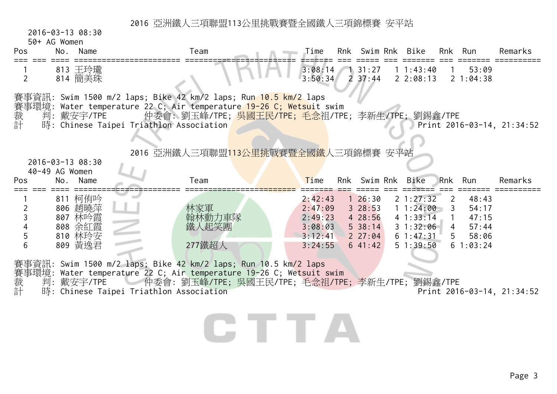2016-03-13 08:30

50+ AG Women

| Pos | No. | Name               | Team                                                                                                                                   |                             |  | Time Rnk Swim-Rnk Bike Rnk Run |          |                                                | Remarks |
|-----|-----|--------------------|----------------------------------------------------------------------------------------------------------------------------------------|-----------------------------|--|--------------------------------|----------|------------------------------------------------|---------|
|     |     | 813 王玲瓏<br>814 簡美珠 |                                                                                                                                        | $3:08:14$ 1 31:27 1 1:43:40 |  |                                | $\sim$ 1 | 53:09<br>$3:50:34$ 2 37:44 2 2:08:13 2 1:04:38 |         |
|     |     |                    | 賽事資訊: Swim 1500 m/2 laps; Bike 42 km/2 laps; Run 10.5 km/2 laps<br>賽事環境: Water temperature 22 C; Air temperature 19-26 C; Wetsuit swim |                             |  |                                |          |                                                |         |

裁 判:戴安宇/TPE 仲委會:劉玉峰/TPE;<mark>吳國王民/TPE;毛念</mark>祖/TPE;李新生/TPE;劉錫鑫/TPE 裁 判: 戴安宇/TPE 仲委會: 劉玉峰/TPE; <mark>吳國王民/TPE; 毛念祖</mark>/TPE; 李新生/TPE; 劉錫鑫/TPE<br>計 時: Chinese Taipei Triathlon Association

2016 亞洲鐵人三項聯盟113公里挑戰賽暨全國鐵人三項錦標賽 安平站

| Pos | 40-49 AG Women<br>Name<br>No. | Team   | Time    | Rnk Swim Rnk | Bike           | Rnk Run        |          | Remarks |
|-----|-------------------------------|--------|---------|--------------|----------------|----------------|----------|---------|
|     | 811 柯侑吟                       |        | 2:42:43 | 26:30        | $2\;1:27:32$   |                | 48:43    |         |
|     | 806 趙曉萍                       | 林家軍    | 2:47:09 | $3\;\;28:53$ | 11:24:00       |                | 54:17    |         |
|     | 807 林吟霞                       | 翰林動力車隊 | 2:49:23 | 428:56       | $4 \; 1:33:14$ |                | 47:15    |         |
|     | 808 余紅霞                       | 鐵人起笑團  | 3:08:03 | $5\,38:14$   | $3 \t1:32:06$  | $\overline{4}$ | 57:44    |         |
|     | 810 林玲安                       |        | 3:12:41 | 227:04       | $6 \; 1:47:31$ | 5.             | 58:06    |         |
|     | 809 黃逸君                       | 277鐵超人 | 3:24:55 | 641:42       | 51:39:50       |                | 61:03:24 |         |

CHILA

賽事環境: Water temperature 22 C; Air temperature 19-26 C; Wetsuit swim<br>裁 判: 戴安宇/TPE 仲委會: 劉玉峰/TPE; 吳國王民/TPE; 毛念祖/TPI

- 裁 判: 戴安宇/TPE 仲委會: 劉玉峰/TPE; 吳國王民/TPE; 毛念祖/TPE; 李新生/TPE; 劉錫鑫/TPE<br>計 時: Chinese Taipei Triathlon Association Print 201(
- 時: Chinese Taipei Triathlon Association **Print 2016-03-14, 21:34:52**

Page 3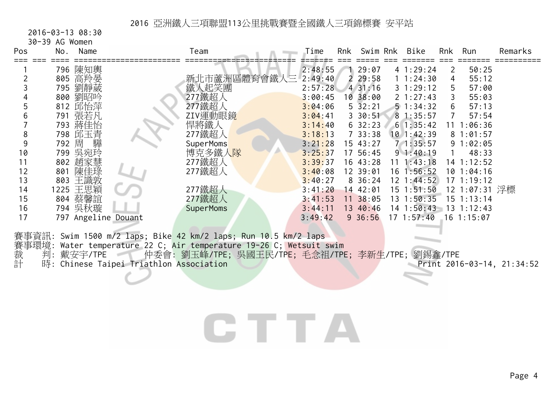2016-03-13 08:30

30-39 AG Women

| Pos  | No.   | Name                 |                     | Team         | Time       | Rnk | Swim Rnk            | Bike            | Rnk                   | Run            | Remarks |
|------|-------|----------------------|---------------------|--------------|------------|-----|---------------------|-----------------|-----------------------|----------------|---------|
|      |       | 796 陳知輿              |                     |              | 2:48:55    |     | 29:07               | 41:29:24        | $\mathbf{2}^{\prime}$ | 50:25          |         |
|      |       | 805 高羚晏              |                     | 新北市蘆洲區體育會鐵人三 | 2:49:40    |     | $2\,29:58$          | 11:24:30        | 4                     | 55:12          |         |
|      |       | 795 劉靜葳              |                     | 鐵人起笑團        | 2:57:28    |     | 431:16              | $3 \t1:29:12$   | 5.                    | 57:00          |         |
|      | 800   | 劉昭吟                  |                     | 277鐵超人       | 3:00:45    |     | 10 38:00            | $2 \t1:27:43$   | 3                     | 55:03          |         |
|      |       | 812 邱怡萍              |                     | 277鐵超人       | 3:04:06    |     | $5\overline{3}2:21$ | $5 \t1:34:32$   | 6                     | 57:13          |         |
|      |       | 791 張若凡              |                     | ZIV運動眼鏡      | 3:04:41    |     | $3\,30:51$          | 81:35:57        | 7                     | 57:54          |         |
|      |       | 793 蔣佳怡              |                     | 悍將鐵人         | 3:14:40    |     | $6\,32:23$          | 61:35:42        |                       | 11 1:06:36     |         |
|      |       | 798 邱玉青              |                     | 277鐵超人       | 3:18:13    |     | 733:38              | 101:42:39       |                       | 81:01:57       |         |
|      | 792 周 | 驊                    |                     | SuperMoms    | 3:21:28    |     | 15 43:27            | 71:35:57        |                       | 91:02:05       |         |
| 10   | 799   | 吳宛玲                  |                     | 博克多鐵人隊       | 3:25:37    |     | 17 56:45            | 91:40:19        |                       | 48:33          |         |
| 11   |       | 802 趙家慧              |                     | 277鐵超人       | 3:39:37    |     | 16 43:28            | $11 \t1:43:18$  |                       | 14 1:12:52     |         |
| 12   | 801   | 陳佳琭                  |                     | 277鐵超人       | 3:40:08    |     | 12 39:01            | 16 1:56:52      |                       | 10 1:04:16     |         |
| 13   | 803   | 王識敦                  |                     |              | 3:40:27    |     | $8\,36:24$          | $12 \t1:44:52$  |                       | $17 \t1:19:12$ |         |
| 14   |       | 1225 王思穎             |                     | 277鐵超人       | 3:41:20    |     | 14 42:01            | $15$ $1:51:50$  |                       | 12 1:07:31 浮標  |         |
| 15   |       | 804 蔡馨誼              |                     | 277鐵超人       | 3:41:53    |     | 11 38:05            | 13 1:50:35      |                       | 15 1:13:14     |         |
| 16   |       | 794 吳秋璇              |                     | SuperMoms    | 3:44:11    |     | 13 40:46            | 14 1:50:43      | 13                    | 1:12:43        |         |
| 17   |       | 797 Angeline Douant  |                     |              | 3:49:42    |     | $9\,36:56$          | $17 \; 1:57:40$ |                       | $16 \t1:15:07$ |         |
| #### |       | $\sim$ $\sim$ $\sim$ | $\sqrt{2}$<br>n · 1 | $\sqrt{2}$   | $\sqrt{2}$ |     |                     |                 |                       |                |         |

賽事資訊: Swim 1500 m/2 laps; Bike 42 km/2 laps; Run 10.5 km/2 laps 賽事環境: Water temperature 22 C; Air temperature 19-26 C; Wetsuit swim <sub>(教</sub>学)<br>裁 判: 戴安宇/TPE 仲委會: 劉玉峰/TPE; 吳國王民/TPE; 毛念祖/TPE; 李新生/TPE; 劉錫鑫/TPE<br>計 時: Chinese Taipei Triathlon Association the Chinese Taipei Triathlon Association **Print 2016-03-14, 21:34:52** 

# CTTA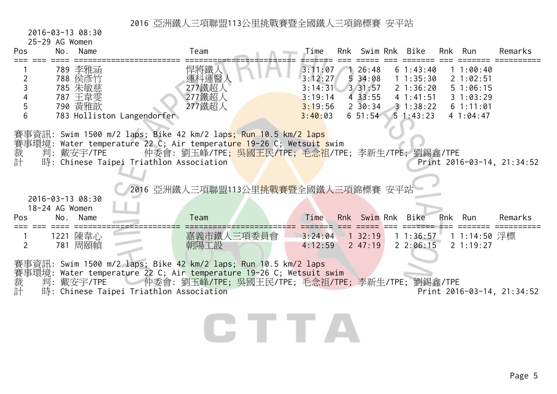2016-03-13 08:30

25-29 AG Women

| Pos            | LU LU NU NUMUNI<br>No. | Name                                                | Team                                                                                                                                                                                                                                                                                                                                                              | Time                                                           |                                                                           | Rnk Swim Rnk Bike                                                                | Rnk Run                                                              | Remarks                    |
|----------------|------------------------|-----------------------------------------------------|-------------------------------------------------------------------------------------------------------------------------------------------------------------------------------------------------------------------------------------------------------------------------------------------------------------------------------------------------------------------|----------------------------------------------------------------|---------------------------------------------------------------------------|----------------------------------------------------------------------------------|----------------------------------------------------------------------|----------------------------|
| 2<br>5<br>6    |                        | 789 李雅涵<br>788 侯彥竹<br>785 朱敏慈<br>787 王韋雯<br>790 黃雅歆 | 悍將鐵人<br>運科運醫<br>277鐵超人<br>277鐵超人<br>277鐵超人<br>783 Holliston Langendorfer                                                                                                                                                                                                                                                                                          | 3:11:07<br>3:12:27<br>3:14:31<br>3:19:14<br>3:19:56<br>3:40:03 | 126:48<br>534:08<br>$3 \, 31:57$<br>4 33:55<br>$2\,30:34$<br>$6\;\;51:54$ | 61:43:40<br>11:35:30<br>2 1:36:20<br>41:41:51<br>$3 \t1:38:22$<br>$5 \; 1:43:23$ | 11:00:40<br>21:02:51<br>51:06:15<br>31:03:29<br>61:11:01<br>41:04:47 |                            |
|                |                        | 2016-03-13 08:30                                    | 賽事資訊: Swim 1500 m/2 laps; Bike 42 km/2 lap <mark>s; Run 10.5 km/2 laps</mark><br>賽事環境: Water temperature 22 C; Air temperat <mark>ure 19-26</mark> C; Wetsuit swim<br>裁  判: 戴安宇/TPE     仲委會: 劉玉峰/TPE; 吳國王民/TPE; 毛念祖/TPE<br>計  時: Chinese Taipei Triathlon Association<br>仲委會: 劉玉峰/TPE; 吳國王民/TPE; 毛念祖/TPE; 李新生/TPE; 劉錫鑫/TPE<br>2016 亞洲鐵人三項聯盟113公里挑戰賽暨全國鐵人三項錦標賽 安平站 |                                                                |                                                                           |                                                                                  |                                                                      | Print 2016-03-14, 21:34:52 |
| Pos            | 18-24 AG Women<br>No.  | Name                                                | Team                                                                                                                                                                                                                                                                                                                                                              | Time                                                           | Rnk Swim Rnk                                                              | Bike                                                                             | Rnk Run                                                              | Remarks                    |
| $\overline{2}$ |                        | 1221 陳韋心<br>781 周頤幀                                 | 嘉義市鐵人三項委員會<br>朝陽工設                                                                                                                                                                                                                                                                                                                                                | 3:24:04<br>4:12:59                                             | $1 \, 32:19$<br>247:19                                                    | 1 1:36:57<br>22:06:15                                                            | 1 1:14:50 浮標<br>21:19:27                                             |                            |
| 裁計             |                        | 判:戴安宇/TPE                                           | 賽事資訊: Swim 1500 m/2 laps; Bike 42 km/2 laps; Run 10.5 km/2 laps<br>賽事環境: Water temperature 22 C; Air temperature 19-26 C; Wetsuit swim<br>一仲委會: 劉玉峰/TPE; 吳國王民/TPE; 毛念祖/TPE; 李新生/TPE; 劉錫鑫/TPE<br>時: Chinese Taipei Triathlon Association                                                                                                                           |                                                                |                                                                           |                                                                                  |                                                                      | Print 2016-03-14, 21:34:52 |

CTTA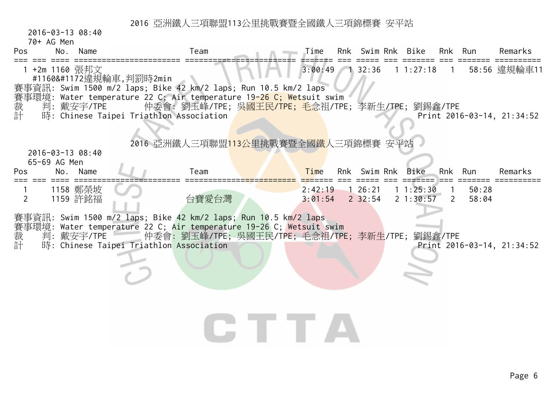2016-03-13 08:40

70+ AG Men

| Pos            | No.<br>Name                      | Team                                                                                                                                   | Time               | Rnk Swim Rnk Bike      |                      |                | Rnk Run        | Remarks                    |
|----------------|----------------------------------|----------------------------------------------------------------------------------------------------------------------------------------|--------------------|------------------------|----------------------|----------------|----------------|----------------------------|
|                | 1 +2m 1160 張邦文                   | #1160Ҕ違規輪車,判罰時2min                                                                                                                     | $3:00:49$ 1 32:36  |                        | 1 1:27:18            | $\overline{1}$ |                | 58:56 違規輪車11               |
|                |                                  | 賽事資訊: Swim 1500 m/2 laps; Bike 42 km/2 laps; Run 10.5 km/2 laps<br>賽事環境: Water temperature 22 C; Air temperature 19-26 C; Wetsuit swim |                    |                        |                      |                |                |                            |
| 裁計             | 判:戴安宇/TPE                        | 仲委會: 劉玉峰/TPE; 吳 <mark>國王民/TPE; 毛念</mark> 祖/TPE; 李新生/TPE; 劉錫鑫/TPE<br>時: Chinese Taipei Triathlon Association                            |                    |                        |                      |                |                | Print 2016-03-14, 21:34:52 |
|                |                                  |                                                                                                                                        |                    |                        |                      |                |                |                            |
|                |                                  | 2016 亞洲鐵人三項聯盟113公里挑戰賽暨全國鐵人三項錦標賽 安平站                                                                                                    |                    |                        |                      |                |                |                            |
|                | 2016-03-13 08:40<br>65-69 AG Men |                                                                                                                                        |                    |                        |                      |                |                |                            |
| Pos            | No. Name                         | Team                                                                                                                                   | Time               | Rnk Swim Rnk Bike      |                      |                | Rnk Run        | Remarks                    |
| $\overline{2}$ | 1158 鄭榮坡<br>1159 許銘福             | 台寶愛台灣                                                                                                                                  | 2:42:19<br>3:01:54 | 126:21<br>$2 \, 32:54$ | 11:25:30<br>21:30:57 | <sup>2</sup>   | 50:28<br>58:04 |                            |
|                |                                  | 賽事資訊: Swim 1500 m/2 laps; Bike 42 km/2 laps; Run 10.5 km/2 laps                                                                        |                    |                        |                      |                |                |                            |
| 裁計             | 判: 戴安宇/TPE                       | 賽事環境: Water temperature 22 C; Air temperature 19-26 C; Wetsuit swim<br>仲委會: 劉玉峰/TPE; 吳國王民/TPE; 毛念祖/TPE; 李新生/TPE;                       |                    |                        |                      | 劉錫鑫/TPE        |                |                            |
|                |                                  | 時: Chinese Taipei Triathlon Association                                                                                                |                    |                        |                      |                |                | Print 2016-03-14, 21:34:52 |
|                |                                  |                                                                                                                                        |                    |                        |                      |                |                |                            |
|                |                                  |                                                                                                                                        |                    |                        |                      |                |                |                            |
|                |                                  |                                                                                                                                        |                    |                        |                      |                |                |                            |
|                |                                  |                                                                                                                                        |                    |                        |                      |                |                |                            |
|                |                                  |                                                                                                                                        |                    |                        |                      |                |                |                            |
|                |                                  |                                                                                                                                        |                    |                        |                      |                |                |                            |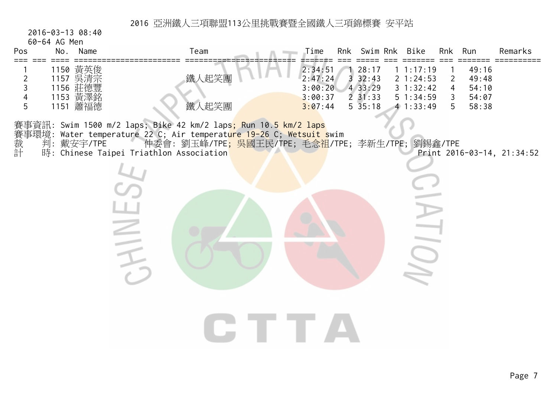2016-03-13 08:40

60-64 AG Men

| Pos                                        | $U$ ווסויו טא <del>ז</del> יט שט<br>Name<br>No.         | Team                                                                                                                                                                                                                                                                                                          | Time                                                | Rnk Swim Rnk                                                 | Bike                                                     |                                                       | Rnk Run                                   | Remarks                    |
|--------------------------------------------|---------------------------------------------------------|---------------------------------------------------------------------------------------------------------------------------------------------------------------------------------------------------------------------------------------------------------------------------------------------------------------|-----------------------------------------------------|--------------------------------------------------------------|----------------------------------------------------------|-------------------------------------------------------|-------------------------------------------|----------------------------|
| $\overline{2}$<br>$\mathfrak{Z}$<br>4<br>5 | 1150 黃英俊<br>1157 吳清宗<br>1156 莊德豐<br>1153 黃澤<br>1151 蕭福德 | 鐵人起笑團<br>鐵人起笑團                                                                                                                                                                                                                                                                                                | 2:34:51<br>2:47:24<br>3:00:20<br>3:00:37<br>3:07:44 | 28:17<br>$3\,32:43$<br>4 33:29<br>$2 \; 31:33$<br>$5\,35:18$ | 11:17:19<br>21:24:53<br>31:32:42<br>51:34:59<br>41:33:49 | $\overline{2}$<br>$\overline{4}$<br>$\mathsf{3}$<br>5 | 49:16<br>49:48<br>54:10<br>54:07<br>58:38 |                            |
|                                            |                                                         | 賽事資訊: Swim 1500 m/2 laps; Bike 42 km/2 laps; Run 10.5 km/2 laps<br>賽事環境: Water temperature 22 C; Air temperature 19-26 C; Wetsuit swim<br>裁  判: 戴安宇/TPE     仲委會: 劉玉峰/TPE; 吳國王民/TPE; 毛念祖/TPE<br>計  時: Chinese Taipei Triathlon Association<br>仲委會: 劉玉峰/TPE <mark>; 吳國王民/TPE; 毛念祖</mark> /TPE; 李新生/TPE; 劉錫鑫/TPE |                                                     |                                                              | $\geq$<br>I I U I                                        |                                                       |                                           | Print 2016-03-14, 21:34:52 |
|                                            |                                                         |                                                                                                                                                                                                                                                                                                               |                                                     |                                                              |                                                          |                                                       |                                           |                            |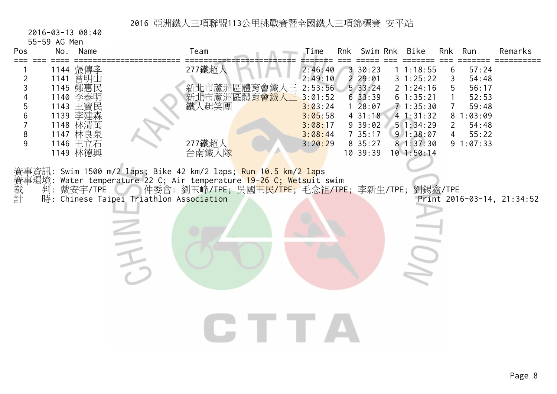2016-03-13 08:40

55-59 AG Men

| Pos                   | No. | Name                                                                                         | Team                                                                                                                                                                                                                                           | Time                                                                                 | Rnk Swim Rnk                                                                       | Bike                                                                                          | Rnk                                             | Run                                                                        | Remarks                    |
|-----------------------|-----|----------------------------------------------------------------------------------------------|------------------------------------------------------------------------------------------------------------------------------------------------------------------------------------------------------------------------------------------------|--------------------------------------------------------------------------------------|------------------------------------------------------------------------------------|-----------------------------------------------------------------------------------------------|-------------------------------------------------|----------------------------------------------------------------------------|----------------------------|
| ===                   |     | 1144 張傳孝                                                                                     | 277鐵超人                                                                                                                                                                                                                                         | 2:46:40                                                                              | 3 30:23                                                                            | 11:18:55                                                                                      | 6                                               | 57:24                                                                      |                            |
| 2<br>3<br>5<br>8<br>9 |     | 1141 曾明山<br>1145 鄭惠民<br>1140 李泰明<br>1143 王寶民<br>1139 李建森<br>1148 林清萬<br>1147 林良泉<br>1146 王立石 | 新北市蘆洲區體育會鐵人三<br>新北市蘆洲區體 <mark>育會鐵人三</mark><br>鐵人起笑團<br>277鐵超人                                                                                                                                                                                  | 2:49:10<br>2:53:56<br>3:01:52<br>3:03:24<br>3:05:58<br>3:08:17<br>3:08:44<br>3:20:29 | 229:01<br>533:24<br>633:39<br>$1\ 28:07$<br>431:18<br>9 39:02<br>735:17<br>8 35:27 | 31:25:22<br>2 1:24:16<br>61:35:21<br>71:35:30<br>41:31:32<br>51:34:29<br>91:38:07<br>81:37:30 | 3<br>5<br>$\overline{7}$<br>$\overline{2}$<br>4 | 54:48<br>56:17<br>52:53<br>59:48<br>81:03:09<br>54:48<br>55:22<br>91:07:33 |                            |
|                       |     | 1149 林德興                                                                                     | 台南鐵人隊                                                                                                                                                                                                                                          |                                                                                      | 10 39:39                                                                           | $10$ 1:50:14                                                                                  |                                                 |                                                                            |                            |
| 賽事<br>裁判<br>計<br>計    |     | 判:戴安宇/TPE                                                                                    | 賽事資訊: Swim 1500 m/2 laps; Bike 42 km/2 laps; <mark>Run 10.5 km/2 lap</mark> s<br>Water temperature 22 C; Air temperature 19-26 C; Wetsuit swim<br>仲委會: 劉玉峰/TPE; 吳國王民/TPE; 毛念祖/TPE; 李新生/TPE; 劉錫鑫/TPE<br>時: Chinese Taipei Triathlon Association |                                                                                      |                                                                                    |                                                                                               |                                                 |                                                                            | Print 2016-03-14, 21:34:52 |
|                       |     |                                                                                              |                                                                                                                                                                                                                                                |                                                                                      |                                                                                    |                                                                                               |                                                 |                                                                            |                            |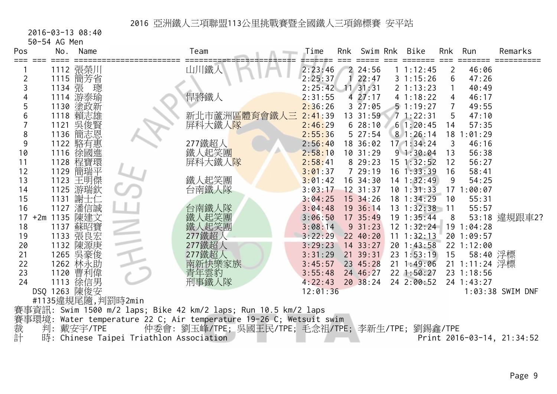2016-03-13 08:40

50-54 AG Men

| Pos   | No.             | Name              |                                         | Team                                                            | Time     | <b>Rnk</b> | Swim Rnk      | Bike           | Rnk             | Run           | Remarks                    |
|-------|-----------------|-------------------|-----------------------------------------|-----------------------------------------------------------------|----------|------------|---------------|----------------|-----------------|---------------|----------------------------|
|       |                 | 1112 張榮川          |                                         | 山川鐵人                                                            | 2:23:46  |            | 224:56        | 1 1:12:45      | $\overline{2}$  | 46:06         |                            |
| 2     |                 | 1115 簡芳省          |                                         |                                                                 | 2:25:37  |            | 22:47         | 31:15:26       | 6               | 47:26         |                            |
|       | 1134 張          | 璁                 |                                         |                                                                 | 2:25:42  |            | $11 \, 31:31$ | 2 1:13:23      | 1               | 40:49         |                            |
|       |                 | 1114 游泰瑜          |                                         | 悍將鐵人                                                            | 2:31:55  |            | 427:17        | 4 1:18:22      | 4               | 46:17         |                            |
| 5     |                 | 1130 塗政新          |                                         |                                                                 | 2:36:26  |            | 327:05        | 51:19:27       | $\overline{7}$  | 49:55         |                            |
| 6     |                 | 1118 賴志雄          |                                         | 新北市蘆洲區體育會鐵人三                                                    | 2:41:39  |            | 13 31:59      | 71:22:31       | 5               | 47:10         |                            |
|       |                 | 1121 吳俊賢          |                                         | 屏科大鐵人隊                                                          | 2:46:29  |            | 628:10        | 61:20:45       | 14              | 57:35         |                            |
| 8     |                 | 1136 簡志恩          |                                         |                                                                 | 2:55:36  |            | 5 27:54       | 81:26:14       | 18 <sup>1</sup> | : 01:29       |                            |
| 9     |                 | 1122 駱有惠          |                                         | 277鐵超人                                                          | 2:56:40  |            | 18 36:02      | $17 \t1:34:24$ | 3               | 46:16         |                            |
| 10    |                 | 1116 徐國進          |                                         | 鐵人起笑團                                                           | 2:58:10  |            | 10.31:29      | 91:30:04       | 13              | 56:38         |                            |
| 11    |                 | 1128 程寶環          |                                         | 屏科大鐵人 <mark>隊</mark>                                            | 2:58:41  |            | 8 29:23       | 15 1:32:52     | 12              | 56:27         |                            |
| 12    |                 | 1129 簡瑞平          |                                         |                                                                 | 3:01:37  |            | 729:19        | $16$ 1:33:39   | 16              | 58:41         |                            |
| 13    |                 | 1123 王明傑          |                                         | 鐵人起笑團                                                           | 3:01:42  |            | 16 34:30      | $14$ 1:32:49   | 9               | 54:25         |                            |
| 14    | 1125            | 游瑞欽               |                                         | 台南鐵人隊                                                           | 3:03:17  |            | $12$ 31:37    | $10$ 1:31:33   |                 | 171:00:07     |                            |
| 15    |                 | 1131 謝士仁          |                                         |                                                                 | 3:04:25  |            | 15 34:26      | 18 1:34:29     | 10              | 55:31         |                            |
| 16    | 1127            | 潘信誠               |                                         | 台南鐵人隊                                                           | 3:04:48  |            | 19 36:14      | $13 \t1:32:38$ | $-11$           | 55:57         |                            |
|       | 17 +2m 1135 陳建文 |                   |                                         | 鐵人起笑團                                                           | 3:06:50  |            | 17 35:49      | $19 \t1:35:44$ | 8               |               | 53:18 違規跟車2?               |
| 18    |                 | 1137 蘇昭寶          |                                         | 鐵人起笑團                                                           | 3:08:14  |            | 9.31:23       | $12$ $1:32:24$ |                 | 19 1:04:28    |                            |
| 19    |                 | 1133 張良宏          |                                         | 277鐵超人                                                          | 3:22:29  |            | 22 40:20      | 11 1:32:13     |                 | 20 1:09:57    |                            |
| 20    |                 | 1132 陳源庚          |                                         | 277鐵超人                                                          | 3:29:23  |            | $14$ 33:27    | 20 1:43:58     |                 | 22 1:12:00    |                            |
| 21    |                 | 1265 吳豪俊          |                                         | 277鐵超人                                                          | 3:31:29  |            | 21 39:31      | 23 1:53:19     | 15              | 58:40 浮標      |                            |
| 22    |                 | 1262 林永助          |                                         | 南新快樂家族                                                          | 3:45:57  |            | 23 45:28      | $21 \t1:49:06$ |                 | 21 1:11:24 浮標 |                            |
| 23    |                 | 1120 曹利偉          |                                         | 青年雲豹<br>刑事鐵人隊                                                   | 3:55:48  |            | 24 46:27      | $22$ 1:50:27   |                 | 23 1:18:56    |                            |
| 24    |                 | 1113 徐信男          |                                         |                                                                 | 4:22:43  |            | 2038:24       | 24 2:00:52     |                 | 24 1:43:27    |                            |
|       | DSQ 1263 陳俊安    |                   |                                         |                                                                 | 12:01:36 |            |               |                |                 |               | 1:03:38 SWIM DNF           |
|       |                 | #1135違規尾隨,判罰時2min |                                         |                                                                 |          |            |               |                |                 |               |                            |
|       |                 |                   |                                         | 賽事資訊: Swim 1500 m/2 laps; Bike 42 km/2 laps; Run 10.5 km/2 laps |          |            |               |                |                 |               |                            |
| 賽事環境: |                 |                   |                                         | Water temperature 22 C; Air temperature 19-26 C; Wetsuit swim   |          |            |               |                |                 |               |                            |
| 裁計    | 判:              | 戴安宇/TPE           |                                         | 仲委會: 劉玉峰/TPE; 吳國王民/TPE; 毛念祖/TPE; 李新生/TPE; 劉錫鑫/TPE               |          |            |               |                |                 |               |                            |
|       |                 |                   | 時: Chinese Taipei Triathlon Association |                                                                 |          |            |               |                |                 |               | Print 2016-03-14, 21:34:52 |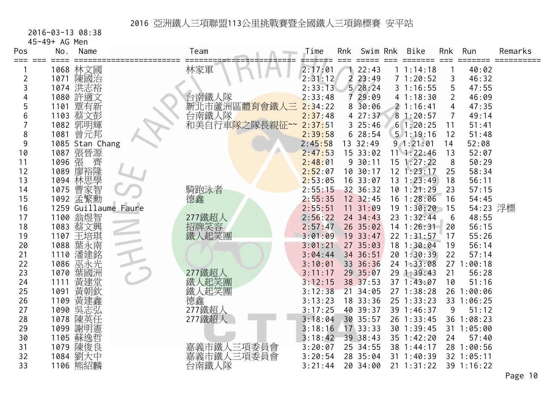2016-03-13 08:38

45-49+ AG Men

| Pos      | No.          | Name                 | Team                        | Time               | Rnk            | Swim Rnk             | <b>Bike</b>              | Rnk             | Run                 | Remarks                           |
|----------|--------------|----------------------|-----------------------------|--------------------|----------------|----------------------|--------------------------|-----------------|---------------------|-----------------------------------|
| === ===  |              | 1068 林文國             | 林家軍                         | 2:17:01            |                | 122:43               | 1 1:14:18                |                 | 40:02               |                                   |
| 2        |              | 1071 陳國治             |                             | 2:31:12            | $\overline{2}$ | 23:49                | 71:20:52                 | 3               | 46:32               |                                   |
| 3        |              | 1074 洪志裕             |                             | 2:33:13            |                | 528:24               | 31:16:55                 | 5               | 47:55               |                                   |
|          |              | 1080 許適文             | 台南鐵人隊                       | 2:33:48            |                | 729:09               | 41:18:30                 | $\overline{2}$  | 46:09               |                                   |
| 5        | 1101         | 覃有新                  | 新北市蘆洲區體育會鐵<br>人三            | 2:34:22            |                | $8\overline{30:06}$  | 21:16:41                 | 4               | 47:35               |                                   |
| 6        |              | 1103 蔡文彭             | 台南鐵人隊                       | 2:37:48            |                | 427:37               | 81:20:57                 | $\overline{7}$  | 49:14               |                                   |
|          |              | 1082 郭明輝             | 和美自行車 <mark>隊之隊長親征~~</mark> | 2:37:51            |                | 325:46               | 61:20:25                 | 11              | 51:41               |                                   |
| 8        | 1081         | 曾元邦                  |                             | 2:39:58            |                | 628:54               | 51:19:16                 | 12              | 51:48               |                                   |
| 9        |              | 1085 Stan Chang      |                             | 2:45:58            |                | 13 32:49             | 91:21:01                 | 14              | 52:08               |                                   |
| 10       |              | 1087 張晉源             |                             | 2:47:53            |                | 15 33:02             | $11 \t1:22:46$           | 13              | 52:07               |                                   |
| 11       | 1096 張       | 齊                    |                             | 2:48:01            |                | 930:11               | $15$ $1:27:22$           | 8               | 50:29               |                                   |
| 12       | 1089         | 廖裕隆                  |                             | 2:52:07            |                | 10 30:17             | $12$ $1:23:17$           | 25              | 58:34               |                                   |
| 13       |              | 1094 林思學             |                             | 2:53:05            |                | 16 33:07             | $13 \t1: 23:49$          | 18              | 56:11               |                                   |
| 14       | 1075         | 曹家智                  | 騎跑泳者                        | 2:55:15            |                | 32 36:32             | $10$ 1:21:29             | 23              | 57:15               |                                   |
| 15       |              | 1092 孟繁勳             | 德鑫                          | 2:55:35            |                | 12 32:45             | 16 1:28:06               | 16              | 54:45               |                                   |
| 16       |              | 1259 Guillaume Faure |                             | 2:55:51            |                | 11 31:09             | 191:30:20                | 15              | 54:23 浮標            |                                   |
| 17       |              | 1100 翁煜智             | 277鐵超人                      | 2:56:22            |                | 24 34:43             | 23 1:32:44               | $6\phantom{1}6$ | 48:55               |                                   |
| 18       |              | 1083 蔡文興             | 招牌笑容                        | 2:57:47            |                | 26 35:02             | $14$ 1:26:31             | 20              | 56:15               |                                   |
| 19       |              | 1107 王培琪             | 鐵人起笑團                       | 3:01:09            |                | 19 33:47             | 22 1:31:57               | 17              | 55:26               |                                   |
| 20       |              | 1088 葉永南             |                             | 3:01:21            |                | 27 35:03             | 18 1:30:04               | 19              | 56:14               |                                   |
| 21       |              | 1110 潘建銘             |                             | 3:04:44            |                | 34 36:51             | 20 1:30:39               | 22              | 57:14               |                                   |
| 22       |              | 1086 巫永光             |                             | 3:10:01            |                | 33 36:36             | 24 1:33:08               |                 | 27 1:00:18          |                                   |
| 23       |              | 1070 葉國洲             | 277鐵超人                      | 3:11:17            |                | 29 35:07             | 291:39:43                | 21              | 56:28               |                                   |
| 24       | 1111         | 黃建堂<br>黃朝欽           | 鐵人起笑團<br>鐵人起笑團              | 3:12:15            |                | 38 37:53             | 37 1:43:07               | 10              | 51:16               |                                   |
| 25       | 1091         |                      |                             | 3:12:38            | 21             | 34:05                | 27 1:38:28               |                 | 26 1:00:06          |                                   |
| 26<br>27 | 1109<br>1090 | 黃建鑫                  | 德鑫                          | 3:13:23<br>3:17:25 |                | 18 33:36<br>40 39:37 | 25 1:33:23<br>39 1:46:37 | 9               | 33 1:06:25<br>51:12 |                                   |
| 28       |              | 吳志弘<br>1078 陳英任      | 277鐵超人<br>277鐵超人            | 3:18:04            |                | 30 35:57             | 26 1:33:45               |                 | 36 1:08:23          |                                   |
| 29       |              | 1099 謝明憲             |                             | 3:18:16            |                | 17 33:33             | 30 1:39:45               |                 | 31 1:05:00          |                                   |
| 30       |              | 1105 蘇逸哲             |                             | 3:18:42            |                | 39 38:43             | 35 1:42:20               | 24              | 57:40               |                                   |
| 31       | 1079         | 陳俊良                  | 嘉義市鐵人三項委員會                  | 3:20:07            |                | 25 34:55             | 38 1:44:17               |                 | 28 1:00:56          |                                   |
| 32       |              | 1084 劉大中             | 嘉義市鐵人三項委員會                  | 3:20:54            |                | 28 35:04             | 31 1:40:39               |                 | 32 1:05:11          |                                   |
| 33       |              | 1106 熊紹麟             | 台南鐵人隊                       | 3:21:44            |                | 20 34:00             | $21 \t1:31:22$           |                 | 39 1:16:22          |                                   |
|          |              |                      |                             |                    |                |                      |                          |                 |                     | $\mathbf{D}$ $\sim$ $\sim$ $\sim$ |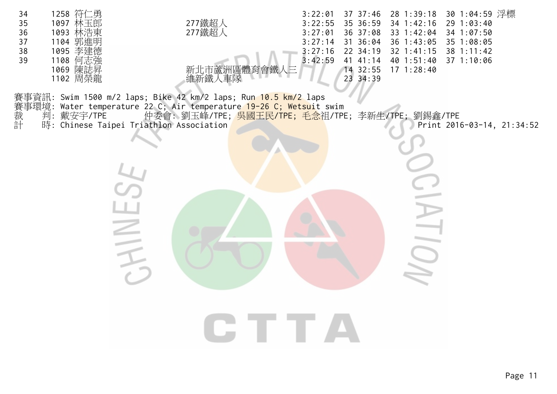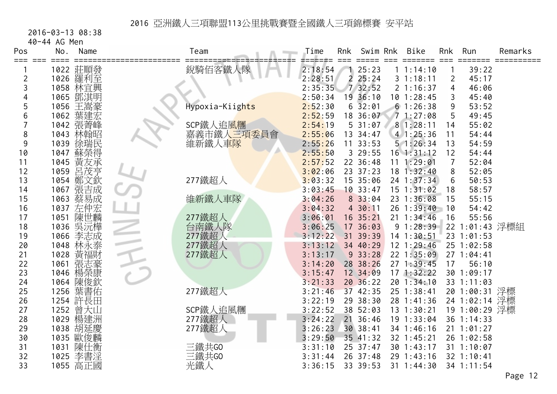2016-03-13 08:38

40-44 AG Men

| Pos | No.  | Name       | Team            | Time    | Rnk            | Swim Rnk   | Bike           | Rnk            | Run            | Remarks          |
|-----|------|------------|-----------------|---------|----------------|------------|----------------|----------------|----------------|------------------|
| ≡≕≕ |      | 1022 莊順發   | 銳騎佰客鐵人隊         | 2:18:54 |                | 125:23     | 1 1:14:10      |                | 39:22          |                  |
| 2   |      | 1026 羅利至   |                 | 2:28:51 | $\overline{2}$ | 25:24      | 31:18:11       | $\overline{2}$ | 45:17          |                  |
| 3   |      | 1058 林官興   |                 | 2:35:35 |                | 7 32:52    | 21:16:37       | 4              | 46:06          |                  |
|     |      | 1065 鄧淇明   |                 | 2:50:34 |                | 19 36:10   | $10$ $1:28:45$ | 3              | 45:40          |                  |
| 5   | 1056 | 王嵩豪        | Hypoxia-Kiights | 2:52:30 |                | $6\,32:01$ | 61:26:38       | 9              | 53:52          |                  |
| 6   | 1062 | 葉建宏        |                 | 2:52:59 |                | 18 36:07   | 71:27:08       | 5              | 49:45          |                  |
|     |      | 1042 張菁峰   | SCP鐵人追風糰        | 2:54:19 |                | 531:07     | 81:28:11       | 14             | 55:02          |                  |
| 8   | 1043 | 林翰昭        | 嘉義市鐵人三項委員會      | 2:55:06 |                | 13 34:47   | 41:25:36       | 11             | 54:44          |                  |
| 9   | 1039 | 徐瑞民        | 維新鐵人車隊          | 2:55:26 |                | 11 33:53   | 51:26:34       | 13             | 54:59          |                  |
| 10  | 1047 | 蘇榮得        |                 | 2:55:50 |                | 3 29:55    | $16$ $1:31:12$ | 12             | 54:44          |                  |
| 11  |      | 1045 黃友承   |                 | 2:57:52 |                | 22 36:48   | 11 1:29:01     | 7              | 52:04          |                  |
| 12  | 1059 | 呂茂亨        |                 | 3:02:06 |                | 23 37:23   | 181:32:40      | 8              | 52:05          |                  |
| 13  | 1054 | 鄭文欽        | 277鐵超人          | 3:03:32 |                | 15 35:06   | $24$ 1:37:34   | 6              | 50:53          |                  |
| 14  | 1067 | 張吉成        |                 | 3:03:45 |                | 10.33:47   | $15$ $1:31:02$ | 18             | 58:57          |                  |
| 15  | 1063 | 蔡易成        | 維新鐵人車隊          | 3:04:26 |                | 8 33:04    | 23 1:36:08     | 15             | 55:15          |                  |
| 16  | 1037 | 左仲宏<br>陳世麟 |                 | 3:04:32 |                | 4 30:11    | 26 1:39:40     | 10             | 54:42          |                  |
| 17  | 1051 |            | 277鐵超人          | 3:06:01 |                | 16 35:21   | $21 \t1:34:46$ | 16             | 55:56          |                  |
| 18  | 1036 | 吳沅樺        | 台南鐵人隊           | 3:06:25 |                | 17 36:03   | 91:28:39       |                | 22 1:01:43 浮標組 |                  |
| 19  | 1066 | 李志成        | 277鐵超人          | 3:12:22 |                | 31 39:39   | 14 1:30:51     |                | 23 1:01:53     |                  |
| 20  |      | 1048 林永泰   | 277鐵超人          | 3:13:12 |                | 34 40:29   | 12 1:29:46     |                | 25 1:02:58     |                  |
| 21  | 1028 | 黃福財        | 277鐵超人          | 3:13:17 |                | 933:28     | 22 1:35:09     |                | 271:04:41      |                  |
| 22  | 1061 | 張志豪        |                 | 3:14:20 |                | 28 38:26   | 27 1:39:45     | 17             | 56:10          |                  |
| 23  | 1046 | 楊榮康        |                 | 3:15:47 |                | 12 34:09   | 171:32:22      |                | 30 1:09:17     |                  |
| 24  | 1064 | 陳俊欽        |                 | 3:21:33 |                | 2036:22    | 201:34:10      |                | 33 1:11:03     |                  |
| 25  | 1256 | 葉書佑        | 277鐵超人          | 3:21:46 |                | 37 42:35   | 25 1:38:41     |                | 20 1:00:31 浮標  |                  |
| 26  |      | 1254 許長田   |                 | 3:22:19 |                | 29 38:30   | 28 1:41:36     |                | 24 1:02:14 浮標  |                  |
| 27  | 1252 | 曾大山        | SCP鐵人追風糰        | 3:22:52 |                | 38 52:03   | 13 1:30:21     |                | 19 1:00:29 浮標  |                  |
| 28  | 1029 | 楊建洲        | 277鐵超人          | 3:24:22 | 21             | 36:46      | 19 1:33:04     |                | 36 1:14:33     |                  |
| 29  |      | 1038 胡延慶   | 277鐵超人          | 3:26:23 |                | 30 38:41   | 34 1:46:16     |                | $21 \t1:01:27$ |                  |
| 30  |      | 1035 歐俊麟   |                 | 3:29:50 |                | 35 41:32   | 32 1:45:21     |                | 26 1:02:58     |                  |
| 31  | 1031 | 陳仕衡        | 三鐵共GO           | 3:31:10 |                | 25 37:47   | 30 1:43:17     |                | 31 1:10:07     |                  |
| 32  | 1025 | 李書淫        | 三鐵共GO           | 3:31:44 |                | 26 37:48   | 29 1:43:16     |                | $32$ 1:10:41   |                  |
| 33  |      | 1055 高正國   | 光鐵人             | 3:36:15 |                | 33 39:53   | $31 \t1:44:30$ |                | 34 1:11:54     | $D \sim \sim 12$ |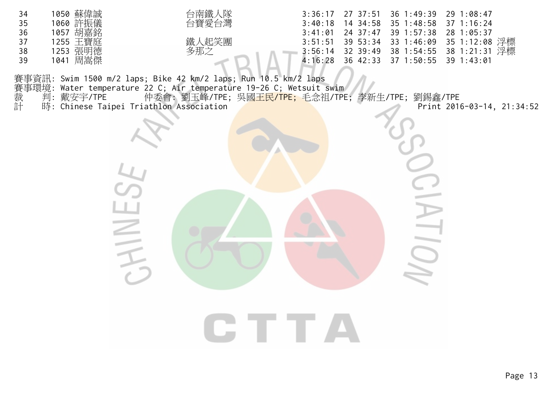| 34 | 蘇偉誠<br>1050 | 台南鐵人隊 |         | 3:36:17 27 37:51 36 1:49:39 29 1:08:47 |                                           |
|----|-------------|-------|---------|----------------------------------------|-------------------------------------------|
| 35 | 1060 許振儀    | 台寶愛台灣 | 3:40:18 | 14 34:58 35 1:48:58 37 1:16:24         |                                           |
| 36 | 胡嘉銘<br>1057 |       | 3:41:01 | 24 37:47 39 1:57:38 28 1               | 1:05:37                                   |
| 37 | 王寶庭<br>255  |       |         |                                        | 3:51:51 39 53:34 33 1:46:09 35 1:12:08 浮標 |
| 38 | 張明德<br>253  | 多那之   |         | 3:56:14 32 39:49 38 1:54:55 38 1:21:31 | 浮標                                        |
| 39 | 周嵩傑<br>1041 |       | 4:16:28 | 36 42:33 37 1:50:55 39 1:43:01         |                                           |
|    |             |       |         |                                        |                                           |

賽事資訊: Swim 1500 m/2 laps; Bike 42 km/2 laps; Run 10.5 km/2 laps 賽事環境: Water temperature 22 C; Air temperature 19-26 C; Wetsuit swim 裁 判:戴安宇/TPE 仲委會:劉玉峰/TPE;吳國<mark>王民/TPE;</mark>毛念祖/TPE;李新生/TPE;劉錫鑫/TPE 賽事資訊: Swim 1500 m/2 laps; Bike 42 km/2 laps; Run 10.5 km/2 laps<br>賽事環境: Water temperature 22 C; Air temperature 19-26 C; Wetsuit swim<br>裁 判: 戴安宇/TPE 仲委會: 劉玉峰/TPE; 吳國<mark>王民/TPE;</mark> 毛念祖/TPE; 李新生/TPE; 劉錫鑫/TPE<br>計 時: Chinese Taipei

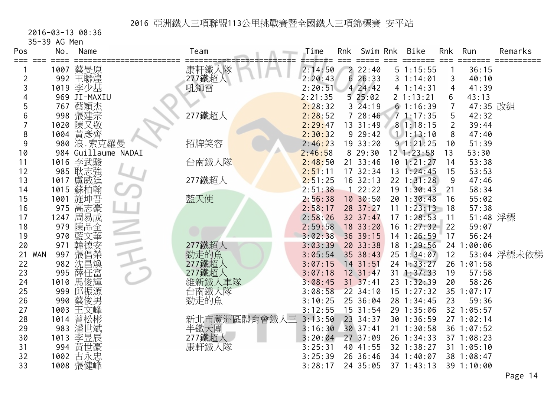2016-03-13 08:36

35-39 AG Men

| Pos<br>≔≕≕       | No.  | Name                | Team   |              | Time    | Rnk | Swim Rnk         | <b>Bike</b>    | <b>Rnk</b>     | Run        | Remarks     |
|------------------|------|---------------------|--------|--------------|---------|-----|------------------|----------------|----------------|------------|-------------|
|                  |      | 1007 蔡旻原            | 康軒鐵人隊  |              | 2:14:50 |     | 22:40            | 51:15:55       |                | 36:15      |             |
| 2                |      | 992 王聯煌             | 277鐵超人 |              | 2:20:43 | 6   | 26:33            | 31:14:01       | 3              | 40:10      |             |
| 3                |      | 1019 李少基            | 吼獅雷    |              | 2:20:51 |     | 424:42           | 41:14:31       | 4              | 41:39      |             |
|                  |      | 969 JI-MAXIU        |        |              | 2:21:35 |     | 525:02           | 2 1:13:21      | 6              | 43:13      |             |
| 5                | 767  | 蔡穎杰                 |        |              | 2:28:32 |     | $3\;\;24:19$     | 61:16:39       | 7              | 47:35 改組   |             |
| 6                | 998  | 張建宗                 | 277鐵超人 |              | 2:28:52 |     | 728:46           | 71:17:35       | 5              | 42:32      |             |
|                  | 1020 | 陳又敬                 |        |              | 2:29:47 |     | 13 31:49         | 81:18:15       | $\overline{2}$ | 39:44      |             |
| 8                |      | 1004 黃彥齊            |        |              | 2:30:32 |     | 929:42           | 11:13:10       | 8              | 47:40      |             |
| 9                |      | 980 浪. 索克羅曼         | 招牌笑容   |              | 2:46:23 |     | 19 33:20         | 91:21:25       | 10             | 51:39      |             |
| 10               |      | 984 Guillaume NADAI |        |              | 2:46:58 |     | 829:30           | $12$ 1:23:58   | 13             | 53:30      |             |
| 11               | 1016 | 李武駿                 | 台南鐵人隊  |              | 2:48:50 |     | 21 33:46         | $10$ 1:21:27   | 14             | 53:38      |             |
| 12               |      | 985 耿志強             |        |              | 2:51:11 |     | 17 32:34         | 13 1:24:45     | 15             | 53:53      |             |
| 13               | 1017 | 盧威廷                 | 277鐵超人 |              | 2:51:25 |     | 16 32:13         | 22 1:31:28     | 9              | 47:46      |             |
| 14               | 1015 | 蘇柏翰                 |        |              | 2:51:38 |     | 22:22            | 191:30:43      | 21             | 58:34      |             |
| 15               | 1001 | 施坤吾                 | 藍天使    |              | 2:56:38 |     | 10 30:50         | 20 1:30:48     | 16             | 55:02      |             |
| 16               | 975  | 高志豪                 |        |              | 2:58:17 |     | 28 37:27         | 11 1:23:13     | 18             | 57:38      |             |
| 17               | 1247 | 周易成                 |        |              | 2:58:26 |     | 32 37:47         | 171:28:53      | 11             | 51:48 浮標   |             |
| 18               | 979  | 陳品全                 |        |              | 2:59:58 |     | 18 33:20         | $16 \t1:27:32$ | 22             | 59:07      |             |
| 19               | 970  | 藍文華                 |        |              | 3:02:38 |     | 36 39:15         | 14 1:26:59     | 17             | 56:24      |             |
| 20               | 971  | 韓德安                 | 277鐵超人 |              | 3:03:39 |     | 20 33:38         | 18 1:29:56     |                | 24 1:00:06 |             |
| <b>WAN</b><br>21 | 997  | 張倡榮                 | 勁走的魚   |              | 3:05:54 |     | 35 38:43         | 25 1:34:07     | 12             |            | 53:04 浮標未依梯 |
| 22               | 982  | 沈昌煥                 | 277鐵超人 |              | 3:07:15 |     | 14 31:51         | 24 1:33:27     |                | 26 1:01:58 |             |
| 23               |      | 995 薛任富             | 277鐵超人 |              | 3:07:18 |     | $12 \t31:47$     | $31$ $1:37:33$ | 19             | 57:58      |             |
| 24               |      | 1010 馬俊輝            | 維新鐵人車隊 |              | 3:08:45 |     | $31 \quad 37:41$ | 23 1:32:39     | 20             | 58:26      |             |
| 25               | 999  | 邱振源                 | 台南鐵人隊  |              | 3:08:58 |     | 22 34:10         | 15 1:27:32     |                | 35 1:07:17 |             |
| 26               | 990  | 蔡俊男                 | 勁走的魚   |              | 3:10:25 |     | 25 36:04         | 28 1:34:45     | 23             | 59:36      |             |
| 27               | 1003 | 王文峰                 |        |              | 3:12:55 |     | 15 31:54         | 29 1:35:06     |                | 32 1:05:57 |             |
| 28               | 1014 | 曾松彬                 |        | 新北市蘆洲區體育會鐵人三 | 3:13:50 |     | 23 34:37         | 30 1:36:59     |                | 271:02:14  |             |
| 29               | 983  | 潘世斌                 | 半鐵天團   |              | 3:16:30 |     | 30 37:41         | 21 1:30:58     |                | 36 1:07:52 |             |
| 30               | 1013 | 李昱辰                 | 277鐵超人 |              | 3:20:04 |     | 27 37:09         | 26 1:34:33     |                | 37 1:08:23 |             |
| 31               |      | 994 黃世豪             | 康軒鐵人隊  |              | 3:25:31 |     | 40 41:55         | 32 1:38:27     |                | 31 1:05:10 |             |
| 32               | 1002 | 古永忠                 |        |              | 3:25:39 |     | 26 36:46         | 34 1:40:07     |                | 38 1:08:47 |             |
| 33               |      | 1008 張健峰            |        |              | 3:28:17 |     | 24 35:05         | $37$ 1:43:13   |                | 39 1:10:00 |             |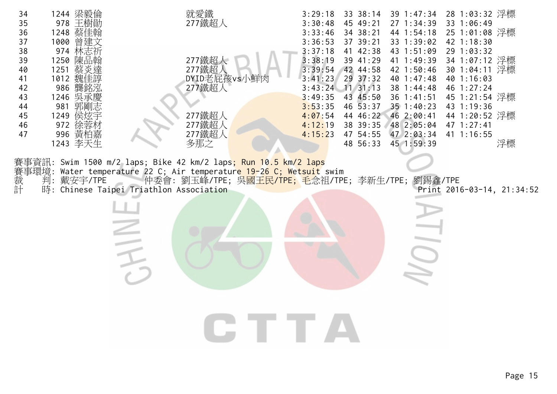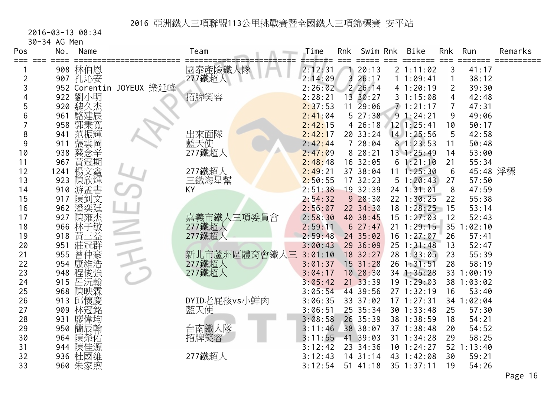2016-03-13 08:34

30-34 AG Men

| Pos     | No.             | Name    |                         | Team         | Time    | Rnk            | Swim Rnk   | <b>Bike</b>    | Rnk | Run        | Remarks |
|---------|-----------------|---------|-------------------------|--------------|---------|----------------|------------|----------------|-----|------------|---------|
| === === | $=$ $=$ $=$ $=$ | 908 林伯恩 |                         | 國泰產險鐵人隊      | 2:12:31 |                | 20:13      | 2 1:11:02      | 3   | 41:17      |         |
| 2       |                 | 907 孔沁安 |                         | 277鐵超人       | 2:14:09 | $\overline{3}$ | 26:17      | 11:09:41       | 1   | 38:12      |         |
| 3       |                 |         | 952 Corentin JOYEUX 樂廷峰 |              | 2:26:02 |                | 2 26:14    | 41:20:19       | 2   | 39:30      |         |
|         |                 | 922 劉小明 |                         | 招牌笑容         | 2:28:21 |                | 13 30:27   | 31:15:08       | 4   | 42:48      |         |
| 5       |                 | 920 魏久杰 |                         |              | 2:37:53 | 11             | 29:06      | 71:21:17       | 7   | 47:31      |         |
| 6       | 961             | 駱建辰     |                         |              | 2:41:04 |                | 527:38     | 91:24:21       | 9   | 49:06      |         |
|         | 958             | 郭秉寬     |                         |              | 2:42:15 |                | 426:18     | 12 1:25:41     | 10  | 50:17      |         |
| 8       | 941             | 范振輝     |                         | 出來面隊         | 2:42:17 |                | 20 33:24   | 14 1:25:56     | 5   | 42:58      |         |
| 9       | 911             | 張雲岡     |                         | 藍天使          | 2:42:44 |                | 728:04     | 81:23:53       | 11  | 50:48      |         |
| 10      | 938             | 蔡念辛     |                         | 277鐵超人       | 2:47:09 |                | 8 28:21    | 13 1:25:49     | 14  | 53:00      |         |
| 11      | 967             | 黃冠期     |                         |              | 2:48:48 |                | 16 32:05   | 61:21:10       | 21  | 55:34      |         |
| 12      | 1241            | 楊文鑫     |                         | 277鐵超人       | 2:49:21 |                | 37 38:04   | 11 1:25:30     | 6   | 45:48 浮標   |         |
| 13      | 923             | 陳欣煇     |                         | 三鐵海星幫        | 2:50:55 |                | 17 32:23   | 51:20:43       | 27  | 57:50      |         |
| 14      | 910             | 游孟書     |                         | KY           | 2:51:38 |                | 19 32:39   | 24 1:31:01     | 8   | 47:59      |         |
| 15      | 917             | 陳釗文     |                         |              | 2:54:32 |                | 928:30     | 22 1:30:25     | 22  | 55:38      |         |
| 16      | 962             | 潘奕廷     |                         |              | 2:56:07 |                | 22 34:30   | 18 1:28:25     | 15  | 53:14      |         |
| 17      | 927             | 陳雍杰     |                         | 嘉義市鐵人三項委員會   | 2:58:30 |                | 40 38:45   | 15 1:27:03     | 12  | 52:43      |         |
| 18      | 966             | 林子敏     |                         | 277鐵超人       | 2:59:11 |                | 627:47     | $21 \t1:29:15$ | 35  | :02:10     |         |
| 19      | 918             | 黃<br>三益 |                         | 277鐵超人       | 2:59:48 |                | 24 35:02   | $16$ 1:27:07   | 26  | 57:41      |         |
| 20      | 951             | 莊冠群     |                         |              | 3:00:43 |                | 29 36:09   | $25$ 1:31:48   | 13  | 52:47      |         |
| 21      | 955             | 曾仲豪     |                         | 新北市蘆洲區體育會鐵人三 | 3:01:10 |                | 18 32:27   | 28 1:33:05     | 23  | 55:39      |         |
| 22      | 954             | 康維浩     |                         | 277鐵超人       | 3:01:37 |                | $15$ 31:28 | 26 1:31:51     | 28  | 58:19      |         |
| 23      | 948             | 程俊強     |                         | 277鐵超人       | 3:04:17 |                | 10 28:30   | 34 1:35:28     |     | 33 1:00:19 |         |
| 24      | 915             | 呂沅翰     |                         |              | 3:05:42 |                | 21 33:39   | 19 1:29:03     |     | 38 1:03:02 |         |
| 25      | 968             | 陳映霖     |                         |              | 3:05:54 |                | 44 39:56   | 27 1:32:19     | 16  | 53:40      |         |
| 26      | 913             | 邱懷慶     |                         | DYID老屁孩vs小鮮肉 | 3:06:35 |                | 33 37:02   | $17 \t1:27:31$ |     | 34 1:02:04 |         |
| 27      | 909             | 林冠銘     |                         | 藍天使          | 3:06:51 |                | 25 35:34   | 30 1:33:48     | 25  | 57:30      |         |
| 28      | 931             | 廖偉均     |                         |              | 3:08:58 |                | 26 35:39   | 38 1:38:59     | 18  | 54:21      |         |
| 29      | 950             | 簡辰翰     |                         | 台南鐵人隊        | 3:11:46 |                | 38 38:07   | 37 1:38:48     | 20  | 54:52      |         |
| 30      | 964             | 陳榮佑     |                         | 招牌笑容         | 3:11:55 |                | 41 39:03   | 31 1:34:28     | 29  | 58:25      |         |
| 31      |                 | 944 陳佳源 |                         |              | 3:12:42 |                | 23 34:36   | 10 1:24:27     |     | 52 1:13:40 |         |
| 32      |                 | 936 杜國維 |                         | 277鐵超人       | 3:12:43 |                | $14$ 31:14 | 43 1:42:08     | 30  | 59:21      |         |
| 33      |                 | 960 朱家煦 |                         |              | 3:12:54 |                | 5141:18    | 35 1:37:11     | 19  | 54:26      |         |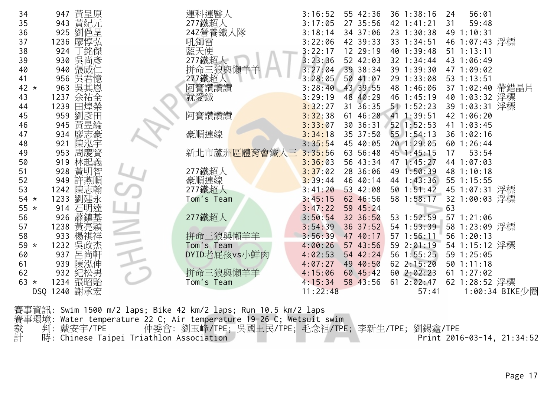| 34      | 黃呈原<br>947   | 運科運醫人        | 3:16:52  | 55 42:36    | 36 1:38:16   | 56:01<br>24     |                |
|---------|--------------|--------------|----------|-------------|--------------|-----------------|----------------|
| 35      | 黃紀元<br>943   | 277鐵超人       | 3:17:05  | 27 35:56    | 42 1:41:21   | 59:48<br>31     |                |
| 36      | 劉俋呈<br>925   | 24Z營養鐵人隊     | 3:18:14  | 34 37:06    | 23 1:30:38   | 49 1:10:31      |                |
| 37      | 廖惇弘<br>1236  | 吼獅雷          | 3:22:06  | 42 39:33    | 33 1:34:51   | 46 1:07:43 浮標   |                |
| 38      | `銘傑<br>924   | 藍天使          | 3:22:17  | 12 29:19    | 40 1:39:48   | $51 \t1:13:11$  |                |
| 39      | 吳尚彥<br>930   | 277鐵超人       | 3:23:36  | 52 42:03    | 32 1:34:44   | 43 1:06:49      |                |
| 40      | 張威<br>940    | 拼命三狼與懶羊      | 3:27:04  | 39 38:34    | 39 1:39:30   | 47 1:09:02      |                |
| 41      | 吳君憶<br>956   | 277鐵超人       | 3:28:05  | 50 41:07    | 29 1:33:08   | 53 1:13:51      |                |
| 42 $*$  | 吳其恩<br>963   | 阿寶讚讚讚        | 3:28:40  | 43 39:55    | 48 1:46:06   | 37 1:02:40 帶錯晶片 |                |
| 43      | 余祐全<br>1237  | 就愛鐵          | 3:29:19  | 48 40:29    | 46 1:45:19   | 40 1:03:32 浮標   |                |
| 44      | 1239<br>田煌榮  |              | 3:32:27  | 31<br>36:35 | $51$ 1:52:23 | 39 1:03:31 浮標   |                |
| 45      | 劉彥田<br>959   | 阿寶讚讚讚        | 3:32:38  | 61 46:28    | 41 1:39:51   | 42 1:06:20      |                |
| 46      | 黃昱綸<br>945   |              | 3:33:07  | 30 36:31    | 52 1:52:53   | 41 1:03:45      |                |
| 47      | 廖志豪<br>934   | 豪順連線         | 3:34:18  | 35 37:50    | 55 1:54:13   | 36 1:02:16      |                |
| 48      | 陳泓宇<br>921   |              | 3:35:54  | 45 40:05    | 20 1:29:05   | 60 1:26:44      |                |
| 49      | 周慶賢<br>953   | 新北市蘆洲區體育會鐵人三 | 3:35:56  | 63 56:48    | 45 1:45:15   | 17<br>53:54     |                |
| 50      | 林起義<br>919   |              | 3:36:03  | 56 43:34    | 47 1:45:27   | 44 1:07:03      |                |
| 51      | 黃明智<br>928   | 277鐵超人       | 3:37:02  | 28 36:06    | 49 1:50:39   | 48 1:10:18      |                |
| 52      | 許燕順<br>949   | 豪順連線         | 3:39:44  | 46 40:14    | 44 1:43:36   | 55 1:15:55      |                |
| 53      | 陳志翰<br>1242  | 277鐵超人       | 3:41:20  | 53 42:08    | 50 1:51:42   | 45 1:07:31 浮標   |                |
| $54 *$  | 劉建永<br>1233  | Tom's Team   | 3:45:15  | 62 46:56    | 58 1:58:17   | 32 1:00:03 浮標   |                |
| 55 $*$  | 914          |              | 3:47:22  | 59 45:24    |              | 63              |                |
| 56      | 926<br>蕭鎮基   | 277鐵超人       | 3:50:54  | 32 36:50    | 53 1:52:59   | 57 1:21:06      |                |
| 57      | 黃亮穎<br>1238  |              | 3:54:39  | 36 37:52    | 54 1:53:39   | 58 1:23:09 浮標   |                |
| 58      | 933          | 拼命三狼與懶羊羊     | 3:56:39  | 47 40:17    | 57 1:56:11   | 56 1:20:13      |                |
| 59<br>* | 吳政杰<br>1232  | Tom's Team   | 4:00:26  | 57 43:56    | 59 2:01:19   | 54 1:15:12 浮標   |                |
| 60      | 呂尚軒<br>937   | DYID老屁孩vs小鮮肉 | 4:02:53  | 54 42:24    | 56 1:55:25   | 59 1:25:05      |                |
| 61      | 陳泓伸<br>939   |              | 4:07:27  | 49 40:50    | 62 2:15:20   | $50$ $1:11:18$  |                |
| 62      | 紀松男<br>932   | 拼命三狼與懶羊羊     | 4:15:06  | 60 45:42    | 60 2:02:23   | 61 1:27:02      |                |
| $63 *$  | 張昭貽<br>1234  | Tom's Team   | 4:15:34  | 58 43:56    | 61 2:02:47   | 62 1:28:52 浮標   |                |
|         | DSQ 1240 謝承宏 |              | 11:22:48 |             | 57:41        |                 | 1:00:34 BIKE少圈 |
|         |              |              |          |             |              |                 |                |

賽事資訊: Swim 1500 m/2 laps; Bike 42 km/2 laps; Run 10.5 km/2 laps 賽事環境: Water temperature 22 C; Air temperature 19-26 C; Wetsuit swim 裁 判: 戴安宇/TPE 仲委會: 劉玉峰/TPE; 吳國王民/TPE; 毛念祖/TPE; 李新生/TPE; 劉錫鑫/TPE 計 時: Chinese Taipei Triathlon Association Print 2016-03-14, 21:34:52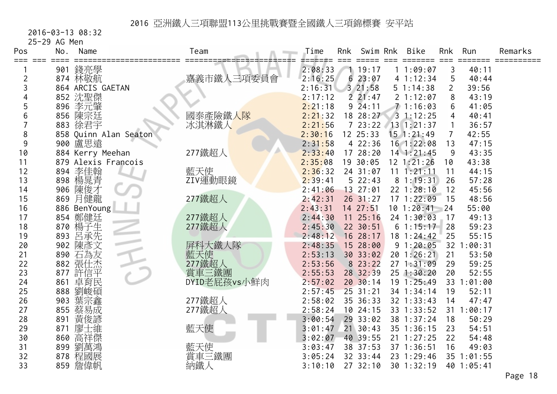2016-03-13 08:32

25-29 AG Men

| Pos<br>===<br>$=$ $=$ $=$ | No. | Name                  | Team          | Time    | Rnk | Swim Rnk     | <b>Bike</b>    | Rnk            | Run        | Remarks |
|---------------------------|-----|-----------------------|---------------|---------|-----|--------------|----------------|----------------|------------|---------|
|                           |     | 901 錢亮學               |               | 2:08:33 |     | 119:17       | 11:09:07       | 3              | 40:11      |         |
| $\overline{c}$            |     | 874 林敬航               | 嘉義市鐵人三項委員會    | 2:16:25 |     | 623:07       | 4 1:12:34      | 5              | 40:44      |         |
| 3                         |     | 864 ARCIS GAETAN      |               | 2:16:31 |     | 3 21:58      | 51:14:38       | $\overline{2}$ | 39:56      |         |
|                           |     | 852 沈聖傑               |               | 2:17:12 |     | 221:47       | 2 1:12:07      | 8              | 43:19      |         |
| 5                         |     | 896 李元肇               |               | 2:21:18 |     | $9\,24:11$   | 71:16:03       | 6              | 41:05      |         |
| 6                         |     | 856 陳宗廷               | 國泰產險鐵人隊       | 2:21:32 |     | 18 28:27     | 31:12:25       | 4              | 40:41      |         |
|                           | 883 | 徐君宇                   | 冰淇淋鐵人         | 2:21:56 |     | 723:22       | 13 1:21:37     | 1              | 36:57      |         |
| 8                         |     | 858 Quinn Alan Seaton |               | 2:30:16 |     | 12 25:33     | $15$ 1:21:49   | $\overline{7}$ | 42:55      |         |
| 9                         |     | 900 盧思遠               |               | 2:31:58 |     | 4 22:36      | 16 1:22:08     | 13             | 47:15      |         |
| 10                        |     | 884 Kerry Meehan      | 277鐵超人        | 2:33:40 |     | 17 28:20     | $14$ 1:21:45   | 9              | 43:35      |         |
| 11                        |     | 879 Alexis Francois   |               | 2:35:08 |     | 19 30:05     | $12 \t1:21:26$ | 10             | 43:38      |         |
| 12                        | 894 | 李佳翰                   | 藍天使           | 2:36:32 |     | 24 31:07     | $11 \t1:21:11$ | 11             | 44:15      |         |
| 13                        | 898 | 楊晁青                   | ZIV運動眼鏡       | 2:39:41 |     | 522:43       | 81:19:31       | 26             | 57:28      |         |
| 14                        |     | 906 陳俊才               |               | 2:41:06 |     | 13 27:01     | $22$ 1:28:10   | 12             | 45:56      |         |
| 15                        | 869 | 月健龍                   | 277鐵超人        | 2:42:31 |     | $26$ 31:27   | 171:22:09      | 15             | 48:56      |         |
| 16                        |     | 886 BenYoung          |               | 2:43:31 |     | 14 27:51     | $10$ 1:20:41   | 24             | 55:00      |         |
| 17                        |     | 854 鄭健廷               | 277鐵超人        | 2:44:30 |     | $11 \t25:16$ | 24 1:30:03     | 17             | 49:13      |         |
| 18                        |     | 870 楊子生               | 277鐵超人        | 2:45:30 |     | 22 30:51     | 61:15:17       | 28             | 59:23      |         |
| 19                        | 893 | 呂承先                   |               | 2:48:12 |     | 16 28:17     | 18 1:24:42     | 25             | 55:15      |         |
| 20                        | 902 | 陳彥文                   | 屏科大鐵人隊        | 2:48:35 |     | 15 28:00     | 91:20:05       |                | 32 1:00:31 |         |
| 21                        | 890 | 石為友                   | 藍天使<br>277鐵超人 | 2:53:13 |     | 30 33:02     | 20 1:26:21     | 21             | 53:50      |         |
| 22                        |     | 882 張仕杰               |               | 2:53:56 |     | 8 23:22      | 271:31:09      | 29             | 59:25      |         |
| 23                        | 877 | 許信平                   | 賞車三鐵團         | 2:55:53 |     | 28 32:39     | $25$ 1:30:20   | 20             | 52:55      |         |
| 24                        | 861 | 卓育民                   | DYID老屁孩vs小鮮肉  | 2:57:02 |     | 2030:14      | 19 1:25:49     |                | 33 1:01:00 |         |
| 25                        | 888 | 劉峻碩                   |               | 2:57:45 |     | 25 31:21     | 34 1:34:14     | 19             | 52:11      |         |
| 26                        | 903 | 葉宗鑫                   | 277鐵超人        | 2:58:02 |     | 35 36:33     | 32 1:33:43     | 14             | 47:47      |         |
| 27                        | 855 | 蔡易成                   | 277鐵超人        | 2:58:24 |     | 10 24:15     | 33 1:33:52     |                | 31 1:00:17 |         |
| 28                        | 891 | 黃俊諺                   |               | 3:00:54 |     | 29 33:02     | 38 1:37:24     | 18             | 50:29      |         |
| 29                        | 871 | 士維<br>廖               | 藍天使           | 3:01:47 |     | 21 30:43     | 35 1:36:15     | 23             | 54:51      |         |
| 30                        | 860 | 高祥傑                   |               | 3:02:07 |     | 40 39:55     | $21 \t1:27:25$ | 22             | 54:48      |         |
| 31                        | 899 | 劉萬鴻                   | 藍天使           | 3:03:47 |     | 38 37:53     | 37 1:36:51     | 16             | 49:03      |         |
| 32                        |     | 878 程國展               | 賞車三鐵團         | 3:05:24 |     | 32 33:44     | 23 1:29:46     |                | 35 1:01:55 |         |
| 33                        |     | 859 詹偉帆               | 納鐵人           | 3:10:10 |     | 27 32:10     | 30 1:32:19     |                | 40 1:05:41 |         |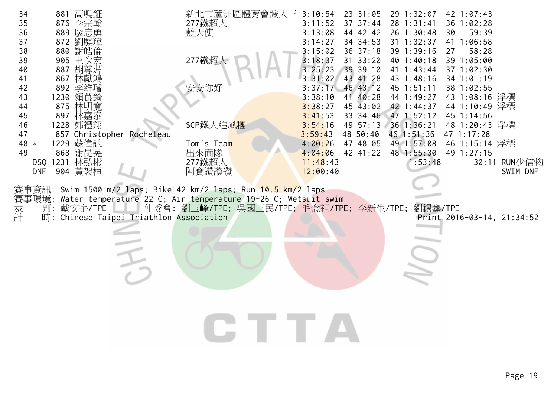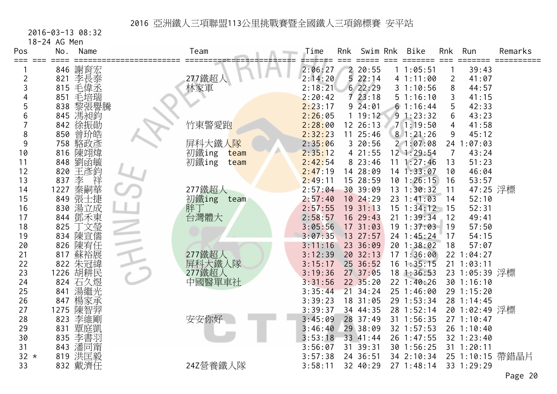2016-03-13 08:32

18-24 AG Men

| Pos    | No.  | Name               | Team          | Time    | Rnk | Swim Rnk            | <b>Bike</b>    | Rnk   | Run            | Remarks         |
|--------|------|--------------------|---------------|---------|-----|---------------------|----------------|-------|----------------|-----------------|
| ⋍⋍⋍    |      | 846 謝育宏            |               | 2:06:27 |     | 2 20:55             | 11:05:51       |       | 39:43          |                 |
| 2      | 821  | 李長泰                | 277鐵超人        | 2:14:20 |     | 522:14              | 41:11:00       | 2     | 41:07          |                 |
| 3      | 815  | 毛偉丞                | 林家軍           | 2:18:21 |     | 622:29              | 31:10:56       | 8     | 44:57          |                 |
|        | 851  | 毛培瑞                |               | 2:20:42 |     | 723:18              | 51:16:10       | 3     | 41:15          |                 |
| 5      | 838  | 黎張譽騰               |               | 2:23:17 |     | $9\overline{2}4:01$ | 61:16:44       | 5     | 42:33          |                 |
| 6      | 845  | 馮昶鈞                |               | 2:26:05 | 1   | 19:12               | 91:23:32       | 6     | 43:23          |                 |
|        | 842  | 徐振勛                | 竹東警愛跑         | 2:28:00 |     | 12 26:13            | 71:19:50       | 4     | 41:58          |                 |
| 8      | 850  | 曾玠皓                |               | 2:32:23 | 11  | 25:46               | 81:21:26       | 9     | 45:12          |                 |
| 9      | 758  | 駱政彥                | 屏科大鐵人隊        | 2:35:06 |     | 3 20:56             | 21:07:08       |       | 24 1:07:03     |                 |
| 10     | 816  | 陳翊煒                | 初鐵ing<br>team | 2:35:12 |     | 4 21:55             | 12 1:29:54     | 7     | 43:24          |                 |
| 11     | 848  | 劉函毓                | 初鐵ing<br>team | 2:42:54 |     | 8 23:46             | 11 1:27:46     | 13    | 51:23          |                 |
| 12     | 820  | 王彥鈞                |               | 2:47:19 |     | 14 28:09            | 14 1:33:07     | 10    | 46:04          |                 |
| 13     | 837  | 李<br>祥             |               | 2:49:11 |     | 15 28:59            | 10 1:26:15     | 16    | 53:57          |                 |
| 14     | 1227 | 秦嗣華                | 277鐵超人        | 2:57:04 |     | 30 39:09            | $13 \t1:30:32$ | 11    | 47:25 浮標       |                 |
| 15     |      | 849 張士捷            | 初鐵ing<br>team | 2:57:40 |     | 10 24:29            | 23 1:41:03     | 14    | 52:10          |                 |
| 16     |      | 830 湯立成            | 胖丁            | 2:57:55 |     | 19 31:13            | $15$ $1:34:12$ | $-15$ | 52:31          |                 |
| 17     | 844  | 鄧禾東                | 台灣體大          | 2:58:57 |     | 16 29:43            | 21 1:39:34     | 12    | 49:41          |                 |
| 18     | 825  | 文瑩                 |               | 3:05:56 |     | 17 31:03            | 191:37:03      | 19    | 57:50          |                 |
| 19     |      | 834 陳宣儒            |               | 3:07:35 |     | 13 27:57            | 24 1:45:24     | 17    | 54:15          |                 |
| 20     | 826  | 陳宥任                |               | 3:11:16 |     | 23 36:09            | 20 1:38:02     | 18    | 57:07          |                 |
| 21     | 817  | 蘇裕展                | 277鐵超人        | 3:12:39 |     | 2032:13             | 171:36:00      |       | 22 1:04:27     |                 |
| 22     | 822  | 朱冠緯                | 屏科大鐵人隊        | 3:15:17 |     | 25 36:52            | $16$ 1:35:15   |       | 21 1:03:11     |                 |
| 23     | 1226 | 胡耕民                | 277鐵超人        | 3:19:36 |     | 27 37:05            | $18$ 1:36:53   |       | 23 1:05:39 浮標  |                 |
| 24     |      | 824 石久煜            | 中國醫單車社        | 3:31:56 |     | 22 35:20            | 22 1:40:26     |       | 30 1:16:10     |                 |
| 25     | 841  | 湯繼光                |               | 3:35:44 |     | 21 34:24            | 25 1:46:00     |       | 29 1:15:20     |                 |
| 26     | 847  | 楊家承                |               | 3:39:23 |     | 18 31:05            | 29 1:53:34     |       | 28 1:14:45     |                 |
| 27     | 1275 | 陳智羿                |               | 3:39:37 |     | 34 44:35            | 28 1:52:14     |       | 20 1:02:49 浮標  |                 |
| 28     | 823  | 李維剛                | 安安你好          | 3:45:09 |     | 28 37:49            | 31 1:56:35     |       | 271:10:47      |                 |
| 29     | 831  | 覃庭凱                |               | 3:46:40 |     | 29 38:09            | 32 1:57:53     |       | $26$ 1:10:40   |                 |
| 30     |      | 835 李書羽            |               | 3:53:18 |     | 33 41:44            | 26 1:47:55     |       | 32 1:23:40     |                 |
| 31     |      |                    |               | 3:56:07 | 31  | 39:31               | 30 1:56:25     |       | $31$ $1:20:11$ |                 |
| $32 *$ |      | 843 潘同甯<br>819 洪匡毅 |               | 3:57:38 |     | 24 36:51            | 34 2:10:34     |       |                | 25 1:10:15 帶錯晶片 |
| 33     |      | 832 戴濟任            | 24Z營養鐵人隊      | 3:58:11 |     | 32 40:29            | 27 1:48:14     |       | 33 1:29:29     |                 |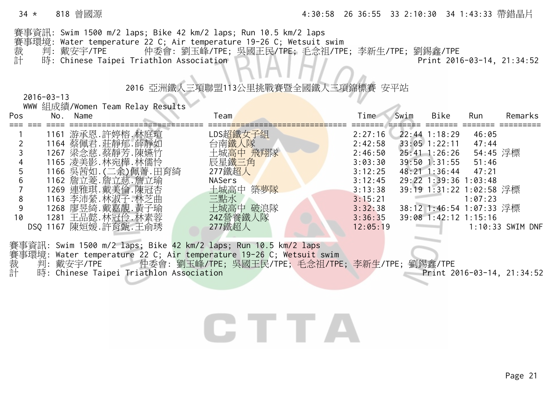#### 34 \* 818 曾國源 4:30:58 26 36:55 33 2:10:30 34 1:43:33 帶錯晶片

賽事資訊: Swim 1500 m/2 laps; Bike 42 km/2 laps; Run 10.5 km/2 laps 賽事環境: Water temperature 22 C; Air temperature 19-26 C; Wetsuit swim 裁 判: 戴安宇/TPE 仲委會: 劉玉峰/TPE; 吳國王民/TPE; 毛念祖/TPE; 李新生/TPE; 劉錫鑫/TPE **计** 時: Chinese Taipei Triathlon Association Print 2016-03-14, 21:34:52

#### 2016 亞洲鐵人三項聯盟113公里挑戰賽暨全國鐵人三項錦標賽 安平站

2016-03-13

|     |             |          | WWW 組成績/Women Team Relay Results |               |          |          |      |                          |          |                  |
|-----|-------------|----------|----------------------------------|---------------|----------|----------|------|--------------------------|----------|------------------|
| Pos |             | No. Name |                                  | Team          |          | Time     | Swim | Bike                     | Run      | Remarks          |
|     |             |          |                                  |               |          |          |      |                          |          |                  |
|     | 1161        |          | 游承恩.許婷榕.林庭瑄                      |               | LDS超鐵女子組 | 2:27:16  |      | $22:44$ 1:18:29          | 46:05    |                  |
|     |             |          | 1164 蔡佩君. 莊靜郁. 薛靜如               |               | 台南鐵人隊    | 2:42:58  |      | $33:05$ 1:22:11          | 47:44    |                  |
|     |             |          | 1267 梁念慈.蔡靜芳.陳嬿竹                 |               | 土城高中 飛翔隊 | 2:46:50  |      | $25:41 \text{ } 1:26:26$ | 54:45 浮標 |                  |
|     |             |          | 1165 凌美影. 林宛樺. 林儒怜               |               | 辰星鐵三角    | 3:03:30  |      | $39:50$ 1:31:55          | 51:46    |                  |
|     |             |          | 1166 吳茜如. (二余)佩菁.田育綺             |               | 277鐵超人   | 3:12:25  |      | $48:21$ 1:36:44          | 47:21    |                  |
|     |             |          | 1162 詹立菱.詹立慈.詹立瑜                 | <b>NASers</b> |          | 3:12:45  |      | 29:22 1:39:36 1:03:48    |          |                  |
|     |             |          | 1269 連雅琪.戴美倫.陳冠杏                 |               | 土城高中 築夢隊 | 3:13:38  |      | 39:19 1:31:22 1:02:58 浮標 |          |                  |
| 8   | 1163        |          | 李沛縈.林淑子.林芝曲                      | 三點水           |          | 3:15:21  |      |                          | 1:07:23  |                  |
| 9   |             |          | 1268 廖昱綺.戴嘉靚.黃子瑜                 |               | 土城高中 破浪隊 | 3:32:38  |      | 38:12 1:46:54 1:07:33 浮標 |          |                  |
| 10  |             |          | 1281 王品懿. 林冠伶. 林素蓉               |               | 242營養鐵人隊 | 3:36:35  |      | 39:08 1:42:12 1:15:16    |          |                  |
|     | 1167<br>DSQ |          | 陳姮媛.許育甄.王俞琇                      |               | 277鐵超人   | 12:05:19 |      |                          |          | 1:10:33 SWIM DNF |

賽事資訊: Swim 1500 m/2 laps; Bike 42 km/2 laps; Run 10.5 km/2 laps 賽事環境: Water temperature 22 C; Air temperature 19-26 C; Wetsuit swim<br>裁 判: 戴安宇/TPE 仲委會: 劉玉峰/TPE; 吳國王民/TPE; 毛念祖/TPI<br>計 時: Chinese Taipei Triathlon Association 判:戴安宇/TPE 仲委會: 劉玉峰/TPE; 吳國王民/TPE; 毛念祖/TPE; 李新生/TPE; 劉錫鑫/TPE 時: Chinese Taipei Triathlon Association 2016-03-14, 21:34:52

## CITILA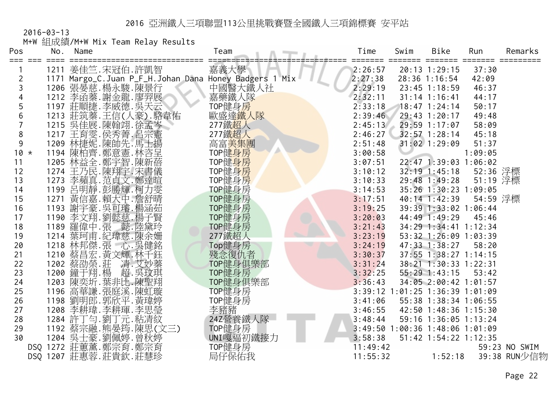|                | $2016 - 03 - 13$ |          |                                                          |                     |          |      |                                 |          |               |
|----------------|------------------|----------|----------------------------------------------------------|---------------------|----------|------|---------------------------------|----------|---------------|
|                |                  |          | M+W 組成績/M+W Mix Team Relay Results                       |                     |          |      |                                 |          |               |
| Pos            |                  | No. Name |                                                          | Team                | Time     | Swim | <b>Bike</b>                     | Run      | Remarks       |
| ⋍⋍⋍            | $==$             |          | 1211 姜佳竺.宋冠伯.許凱智                                         | 嘉義大學                | 2:26:57  |      | ====<br>20:13 1:29:15           | 37:30    |               |
| $\overline{2}$ |                  |          | 1171 Margo_C. Juan P_F_H. Johan Dana Honey Badgers 1 Mix |                     | 2:27:38  |      | 28:36 1:16:54                   | 42:09    |               |
| 3              |                  |          | 1206 張晏慈. 楊永駿. 陳景行                                       | 中國醫大鐵人社             | 2:29:19  |      | $23:45$ 1:18:59                 | 46:37    |               |
| 4              |                  |          | 1212 李函蓁. 謝金龍. 廖羿展                                       | 嘉藥鐵人隊               | 2:32:11  |      | $31:14$ 1:16:41                 | 44:17    |               |
| 5              |                  |          | 1197 莊順捷.李威德.吳天云                                         | TOP健身房              | 2:33:18  |      | $18:47$ 1:24:14                 | 50:17    |               |
| 6              |                  |          | 1213 莊筑蓁.王信(人豪).駱韋佑                                      | 歐盛達鐵人隊              | 2:39:46  |      | 29:43 1:20:17                   | 49:48    |               |
|                |                  |          | 1215 吳佳展.陳翰翊.徐孟                                          | 277鐵超人              | 2:45:13  |      | 29:59 1:17:07                   | 58:09    |               |
| 8              |                  |          | 1217 王育雯.侯秀菁.呂宗憲                                         | 277鐵超人              | 2:46:27  |      | $32:57$ 1:28:14                 | 45:18    |               |
| 9              |                  |          | 1209 林捷妮.陳帥先.馬士揚                                         | 高富 <mark>美集團</mark> | 2:51:48  |      | $31:02$ 1:29:09                 | 51:37    |               |
| $10 *$         |                  |          | 1194 陳柏齊.鄭意憲.林咨呈<br>1205 林益全.鄭宇智.陳新蓓                     | TOP健身房              | 3:00:58  |      |                                 | 1:09:05  |               |
| 11             |                  |          |                                                          | TOP健身房              | 3:07:51  |      | 22:47 1:39:03 1:06:02           |          |               |
| 12             |                  |          | 1274 王乃民.陳翔宇.宋書儀                                         | TOP健身房              | 3:10:12  |      | $32:19$ 1:45:18                 | 52:36 浮標 |               |
| 13             |                  |          | 1273 李蘋真.范貞文.鄭達暄                                         | TOP健身房              | 3:10:33  |      | 29:48 1:49:28                   | 51:19 浮標 |               |
| 14             |                  |          | 1199 呂明靜.彭勝輝.柯力雯                                         | TOP健身房              | 3:14:53  |      | 35:26 1:30:23 1:09:05           |          |               |
| 15             |                  |          | 1271 黃信嘉.賴大中.詹舒晴                                         | TOP健身房              | 3:17:51  |      | $40:14$ 1:42:39                 | 54:59 浮標 |               |
| 16             |                  |          | 1193 謝宇豪. 吳可璿. 楊涵茹                                       | TOP健身房              | 3:19:25  |      | 39:39 1:33:02 1:06:44           |          |               |
| 17             |                  |          | 1190 李文翔.劉懿慈.楊子賢                                         | TOP健身房              | 3:20:03  |      | 44:49 1:49:29                   | 45:46    |               |
| 18             |                  |          | 1189 羅偉中.張 懿.陸黛玲                                         | TOP健身房              | 3:21:43  |      | 34:29 1:34:41 1:12:34           |          |               |
| 19             |                  |          | 1214 葉珂甫.紀瑋慈.陳余姍                                         | 277鐵超人              | 3:23:19  |      | 53:32 1:26:09 1:03:39           |          |               |
| 20             |                  |          | 1218 林邦傑.張 心.吳健銘<br>1210 蔡昌宏.黃文輝.林千鈺                     | Top健身房              | 3:24:19  |      | 47:33 1:38:27                   | 58:20    |               |
| 21             |                  |          |                                                          | 殘念復仇者               | 3:30:37  |      | 37:55 1:38:27 1:14:15           |          |               |
| 22             |                  |          |                                                          | TOP健身俱樂部            | 3:31:24  |      | 38:21 1:30:33 1:22:31           |          |               |
| 23             |                  |          | 1202 蔡劭榮.莊 清.艾妙蓁<br>1200 鐘于翔.楊 超.吳玟琪<br>1203 陳奕圻.葉非比.陳聖翔 | TOP健身房              | 3:32:25  |      | $55:29$ 1:43:15                 | 53:42    |               |
| 24             |                  |          |                                                          | TOP健身俱樂部            | 3:36:43  |      | 34:05 2:00:42 1:01:57           |          |               |
| 25             |                  |          | 1196 高華謙.張庭溪.陳虹璇                                         | TOP健身房              |          |      | 3:39:12 1:01:25 1:36:39 1:01:09 |          |               |
| 26             |                  |          | 1198 劉明郎.郭欣平.黃瑋婷                                         | TOP健身房              | 3:41:06  |      | 55:38 1:38:34 1:06:55           |          |               |
| 27             |                  |          | 1208 李耕瑋.李耕琿.李思瑩                                         | 李豬豬                 | 3:46:55  |      | 42:50 1:48:36 1:15:30           |          |               |
| 28             |                  |          | 1284 許丁勻.劉丁元.粘凊紋                                         | 24Z營養鐵人隊            | 3:48:44  |      | 59:16 1:36:05 1:13:24           |          |               |
| 29             |                  |          | 1192 蔡宗融.熊晏筠.陳思(文三)                                      | TOP健身房              |          |      | 3:49:50 1:00:36 1:48:06 1:01:09 |          |               |
| 30             |                  |          | 1204 吳士豪.劉佩婷.曾秋婷                                         | UNI嘎逼初鐵接力           | 3:58:38  |      | 51:42 1:54:22 1:12:35           |          |               |
|                |                  |          | DSQ 1272 莊蕙薰.鄭宗育.鄭宗育                                     | TOP健身房              | 11:49:42 |      |                                 |          | 59:23 NO SWIM |
|                |                  |          | DSQ 1207 莊惠蓉. 莊貴欽. 莊慧珍                                   | 局仔保佑我               | 11:55:32 |      | 1:52:18                         |          | 39:38 RUN少信物  |